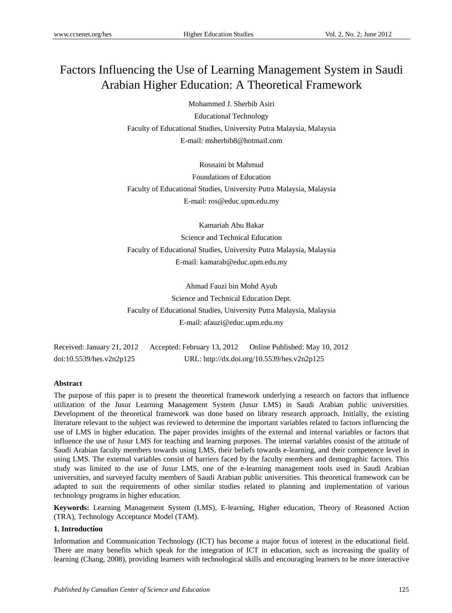# Factors Influencing the Use of Learning Management System in Saudi Arabian Higher Education: A Theoretical Framework

Mohammed J. Sherbib Asiri Educational Technology Faculty of Educational Studies, University Putra Malaysia, Malaysia E-mail: msherbib8@hotmail.com

Rosnaini bt Mahmud Foundations of Education Faculty of Educational Studies, University Putra Malaysia, Malaysia E-mail: ros@educ.upm.edu.my

Kamariah Abu Bakar Science and Technical Education Faculty of Educational Studies, University Putra Malaysia, Malaysia E-mail: kamarab@educ.upm.edu.my

Ahmad Fauzi bin Mohd Ayub Science and Technical Education Dept. Faculty of Educational Studies, University Putra Malaysia, Malaysia E-mail: afauzi@educ.upm.edu.my

Received: January 21, 2012 Accepted: February 13, 2012 Online Published: May 10, 2012 doi:10.5539/hes.v2n2p125 URL: http://dx.doi.org/10.5539/hes.v2n2p125

## **Abstract**

The purpose of this paper is to present the theoretical framework underlying a research on factors that influence utilization of the Jusur Learning Management System (Jusur LMS) in Saudi Arabian public universities. Development of the theoretical framework was done based on library research approach. Initially, the existing literature relevant to the subject was reviewed to determine the important variables related to factors influencing the use of LMS in higher education. The paper provides insights of the external and internal variables or factors that influence the use of Jusur LMS for teaching and learning purposes. The internal variables consist of the attitude of Saudi Arabian faculty members towards using LMS, their beliefs towards e-learning, and their competence level in using LMS. The external variables consist of barriers faced by the faculty members and demographic factors. This study was limited to the use of Jusur LMS, one of the e-learning management tools used in Saudi Arabian universities, and surveyed faculty members of Saudi Arabian public universities. This theoretical framework can be adapted to suit the requirements of other similar studies related to planning and implementation of various technology programs in higher education.

**Keywords:** Learning Management System (LMS), E-learning, Higher education, Theory of Reasoned Action (TRA), Technology Acceptance Model (TAM).

## **1. Introduction**

Information and Communication Technology (ICT) has become a major focus of interest in the educational field. There are many benefits which speak for the integration of ICT in education, such as increasing the quality of learning (Chang, 2008), providing learners with technological skills and encouraging learners to be more interactive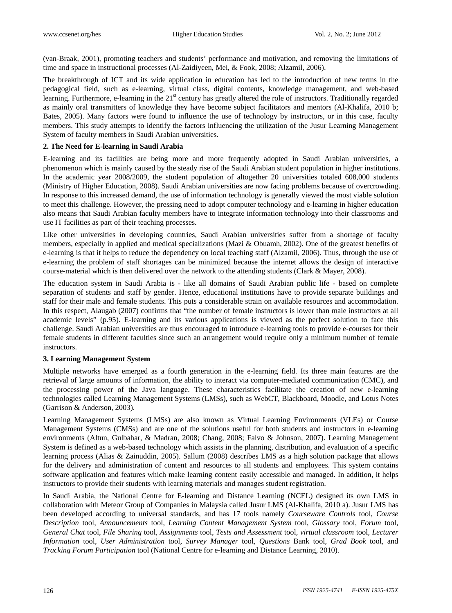(van-Braak, 2001), promoting teachers and students' performance and motivation, and removing the limitations of time and space in instructional processes (Al-Zaidiyeen, Mei, & Fook, 2008; Alzamil, 2006).

The breakthrough of ICT and its wide application in education has led to the introduction of new terms in the pedagogical field, such as e-learning, virtual class, digital contents, knowledge management, and web-based learning. Furthermore, e-learning in the 21<sup>st</sup> century has greatly altered the role of instructors. Traditionally regarded as mainly oral transmitters of knowledge they have become subject facilitators and mentors (Al-Khalifa, 2010 b; Bates, 2005). Many factors were found to influence the use of technology by instructors, or in this case, faculty members. This study attempts to identify the factors influencing the utilization of the Jusur Learning Management System of faculty members in Saudi Arabian universities.

## **2. The Need for E-learning in Saudi Arabia**

E-learning and its facilities are being more and more frequently adopted in Saudi Arabian universities, a phenomenon which is mainly caused by the steady rise of the Saudi Arabian student population in higher institutions. In the academic year 2008/2009, the student population of altogether 20 universities totaled 608,000 students (Ministry of Higher Education, 2008). Saudi Arabian universities are now facing problems because of overcrowding. In response to this increased demand, the use of information technology is generally viewed the most viable solution to meet this challenge. However, the pressing need to adopt computer technology and e-learning in higher education also means that Saudi Arabian faculty members have to integrate information technology into their classrooms and use IT facilities as part of their teaching processes.

Like other universities in developing countries, Saudi Arabian universities suffer from a shortage of faculty members, especially in applied and medical specializations (Mazi & Obuamh, 2002). One of the greatest benefits of e-learning is that it helps to reduce the dependency on local teaching staff (Alzamil, 2006). Thus, through the use of e-learning the problem of staff shortages can be minimized because the internet allows the design of interactive course-material which is then delivered over the network to the attending students (Clark & Mayer, 2008).

The education system in Saudi Arabia is - like all domains of Saudi Arabian public life - based on complete separation of students and staff by gender. Hence, educational institutions have to provide separate buildings and staff for their male and female students. This puts a considerable strain on available resources and accommodation. In this respect, Alaugab (2007) confirms that "the number of female instructors is lower than male instructors at all academic levels" (p.95). E-learning and its various applications is viewed as the perfect solution to face this challenge. Saudi Arabian universities are thus encouraged to introduce e-learning tools to provide e-courses for their female students in different faculties since such an arrangement would require only a minimum number of female instructors.

#### **3. Learning Management System**

Multiple networks have emerged as a fourth generation in the e-learning field. Its three main features are the retrieval of large amounts of information, the ability to interact via computer-mediated communication (CMC), and the processing power of the Java language. These characteristics facilitate the creation of new e-learning technologies called Learning Management Systems (LMSs), such as WebCT, Blackboard, Moodle, and Lotus Notes (Garrison & Anderson, 2003).

Learning Management Systems (LMSs) are also known as Virtual Learning Environments (VLEs) or Course Management Systems (CMSs) and are one of the solutions useful for both students and instructors in e-learning environments (Altun, Gulbahar, & Madran, 2008; Chang, 2008; Falvo & Johnson, 2007). Learning Management System is defined as a web-based technology which assists in the planning, distribution, and evaluation of a specific learning process (Alias & Zainuddin, 2005). Sallum (2008) describes LMS as a high solution package that allows for the delivery and administration of content and resources to all students and employees. This system contains software application and features which make learning content easily accessible and managed. In addition, it helps instructors to provide their students with learning materials and manages student registration.

In Saudi Arabia, the National Centre for E-learning and Distance Learning (NCEL) designed its own LMS in collaboration with Meteor Group of Companies in Malaysia called Jusur LMS (Al-Khalifa, 2010 a). Jusur LMS has been developed according to universal standards, and has 17 tools namely *Courseware Controls* tool, *Course Description* tool, *Announcements* tool, *Learning Content Management System* tool, *Glossary* tool, *Forum* tool, *General Chat* tool, *File Sharing* tool, *Assignments* tool, *Tests and Assessment* tool, *virtual classroom* tool, *Lecturer Information* tool, *User Administration* tool, *Survey Manager* tool, *Questions* Bank tool, *Grad Book* tool, and *Tracking Forum Participation* tool (National Centre for e-learning and Distance Learning, 2010).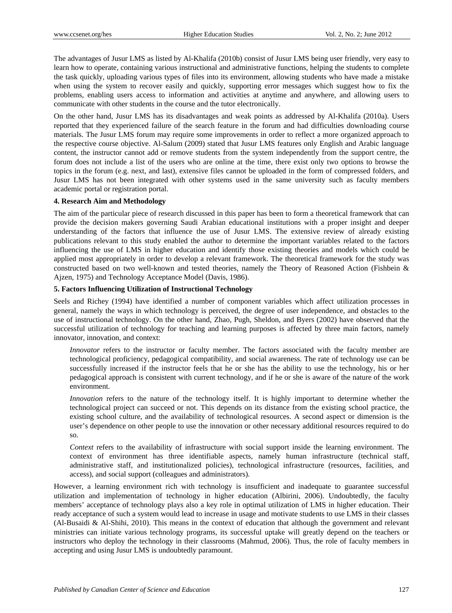The advantages of Jusur LMS as listed by Al-Khalifa (2010b) consist of Jusur LMS being user friendly, very easy to learn how to operate, containing various instructional and administrative functions, helping the students to complete the task quickly, uploading various types of files into its environment, allowing students who have made a mistake when using the system to recover easily and quickly, supporting error messages which suggest how to fix the problems, enabling users access to information and activities at anytime and anywhere, and allowing users to communicate with other students in the course and the tutor electronically.

On the other hand, Jusur LMS has its disadvantages and weak points as addressed by Al-Khalifa (2010a). Users reported that they experienced failure of the search feature in the forum and had difficulties downloading course materials. The Jusur LMS forum may require some improvements in order to reflect a more organized approach to the respective course objective. Al-Salum (2009) stated that Jusur LMS features only English and Arabic language content, the instructor cannot add or remove students from the system independently from the support centre, the forum does not include a list of the users who are online at the time, there exist only two options to browse the topics in the forum (e.g. next, and last), extensive files cannot be uploaded in the form of compressed folders, and Jusur LMS has not been integrated with other systems used in the same university such as faculty members academic portal or registration portal.

#### **4. Research Aim and Methodology**

The aim of the particular piece of research discussed in this paper has been to form a theoretical framework that can provide the decision makers governing Saudi Arabian educational institutions with a proper insight and deeper understanding of the factors that influence the use of Jusur LMS. The extensive review of already existing publications relevant to this study enabled the author to determine the important variables related to the factors influencing the use of LMS in higher education and identify those existing theories and models which could be applied most appropriately in order to develop a relevant framework. The theoretical framework for the study was constructed based on two well-known and tested theories, namely the Theory of Reasoned Action (Fishbein & Ajzen, 1975) and Technology Acceptance Model (Davis, 1986).

### **5. Factors Influencing Utilization of Instructional Technology**

Seels and Richey (1994) have identified a number of component variables which affect utilization processes in general, namely the ways in which technology is perceived, the degree of user independence, and obstacles to the use of instructional technology. On the other hand, Zhao, Pugh, Sheldon, and Byers (2002) have observed that the successful utilization of technology for teaching and learning purposes is affected by three main factors, namely innovator, innovation, and context:

*Innovator* refers to the instructor or faculty member. The factors associated with the faculty member are technological proficiency, pedagogical compatibility, and social awareness. The rate of technology use can be successfully increased if the instructor feels that he or she has the ability to use the technology, his or her pedagogical approach is consistent with current technology, and if he or she is aware of the nature of the work environment.

*Innovation* refers to the nature of the technology itself. It is highly important to determine whether the technological project can succeed or not. This depends on its distance from the existing school practice, the existing school culture, and the availability of technological resources. A second aspect or dimension is the user's dependence on other people to use the innovation or other necessary additional resources required to do so.

*Context* refers to the availability of infrastructure with social support inside the learning environment. The context of environment has three identifiable aspects, namely human infrastructure (technical staff, administrative staff, and institutionalized policies), technological infrastructure (resources, facilities, and access), and social support (colleagues and administrators).

However, a learning environment rich with technology is insufficient and inadequate to guarantee successful utilization and implementation of technology in higher education (Albirini, 2006). Undoubtedly, the faculty members' acceptance of technology plays also a key role in optimal utilization of LMS in higher education. Their ready acceptance of such a system would lead to increase in usage and motivate students to use LMS in their classes (Al-Busaidi & Al-Shihi, 2010). This means in the context of education that although the government and relevant ministries can initiate various technology programs, its successful uptake will greatly depend on the teachers or instructors who deploy the technology in their classrooms (Mahmud, 2006). Thus, the role of faculty members in accepting and using Jusur LMS is undoubtedly paramount.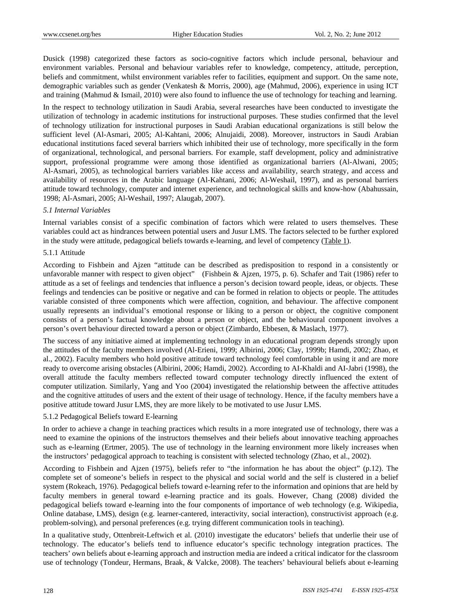Dusick (1998) categorized these factors as socio-cognitive factors which include personal, behaviour and environment variables. Personal and behaviour variables refer to knowledge, competency, attitude, perception, beliefs and commitment, whilst environment variables refer to facilities, equipment and support. On the same note, demographic variables such as gender (Venkatesh & Morris, 2000), age (Mahmud, 2006), experience in using ICT and training (Mahmud & Ismail, 2010) were also found to influence the use of technology for teaching and learning.

In the respect to technology utilization in Saudi Arabia, several researches have been conducted to investigate the utilization of technology in academic institutions for instructional purposes. These studies confirmed that the level of technology utilization for instructional purposes in Saudi Arabian educational organizations is still below the sufficient level (Al-Asmari, 2005; Al-Kahtani, 2006; Alnujaidi, 2008). Moreover, instructors in Saudi Arabian educational institutions faced several barriers which inhibited their use of technology, more specifically in the form of organizational, technological, and personal barriers. For example, staff development, policy and administrative support, professional programme were among those identified as organizational barriers (Al-Alwani, 2005; Al-Asmari, 2005), as technological barriers variables like access and availability, search strategy, and access and availability of resources in the Arabic language (Al-Kahtani, 2006; Al-Weshail, 1997), and as personal barriers attitude toward technology, computer and internet experience, and technological skills and know-how (Abahussain, 1998; Al-Asmari, 2005; Al-Weshail, 1997; Alaugab, 2007).

#### *5.1 Internal Variables*

Internal variables consist of a specific combination of factors which were related to users themselves. These variables could act as hindrances between potential users and Jusur LMS. The factors selected to be further explored in the study were attitude, pedagogical beliefs towards e-learning, and level of competency (Table 1).

#### 5.1.1 Attitude

According to Fishbein and Ajzen "attitude can be described as predisposition to respond in a consistently or unfavorable manner with respect to given object" (Fishbein & Ajzen, 1975, p. 6). Schafer and Tait (1986) refer to attitude as a set of feelings and tendencies that influence a person's decision toward people, ideas, or objects. These feelings and tendencies can be positive or negative and can be formed in relation to objects or people. The attitudes variable consisted of three components which were affection, cognition, and behaviour. The affective component usually represents an individual's emotional response or liking to a person or object, the cognitive component consists of a person's factual knowledge about a person or object, and the behavioural component involves a person's overt behaviour directed toward a person or object (Zimbardo, Ebbesen, & Maslach, 1977).

The success of any initiative aimed at implementing technology in an educational program depends strongly upon the attitudes of the faculty members involved (Al-Erieni, 1999; Albirini, 2006; Clay, 1999b; Hamdi, 2002; Zhao, et al., 2002). Faculty members who hold positive attitude toward technology feel comfortable in using it and are more ready to overcome arising obstacles (Albirini, 2006; Hamdi, 2002). According to AI-Khaldi and AI-Jabri (1998), the overall attitude the faculty members reflected toward computer technology directly influenced the extent of computer utilization. Similarly, Yang and Yoo (2004) investigated the relationship between the affective attitudes and the cognitive attitudes of users and the extent of their usage of technology. Hence, if the faculty members have a positive attitude toward Jusur LMS, they are more likely to be motivated to use Jusur LMS.

#### 5.1.2 Pedagogical Beliefs toward E-learning

In order to achieve a change in teaching practices which results in a more integrated use of technology, there was a need to examine the opinions of the instructors themselves and their beliefs about innovative teaching approaches such as e-learning (Ertmer, 2005). The use of technology in the learning environment more likely increases when the instructors' pedagogical approach to teaching is consistent with selected technology (Zhao, et al., 2002).

According to Fishbein and Ajzen (1975), beliefs refer to "the information he has about the object" (p.12). The complete set of someone's beliefs in respect to the physical and social world and the self is clustered in a belief system (Rokeach, 1976). Pedagogical beliefs toward e-learning refer to the information and opinions that are held by faculty members in general toward e-learning practice and its goals. However, Chang (2008) divided the pedagogical beliefs toward e-learning into the four components of importance of web technology (e.g. Wikipedia, Online database, LMS), design (e.g. learner-cantered, interactivity, social interaction), constructivist approach (e.g. problem-solving), and personal preferences (e.g. trying different communication tools in teaching).

In a qualitative study, Ottenbreit-Leftwich et al. (2010) investigate the educators' beliefs that underlie their use of technology. The educator's beliefs tend to influence educator's specific technology integration practices. The teachers' own beliefs about e-learning approach and instruction media are indeed a critical indicator for the classroom use of technology (Tondeur, Hermans, Braak, & Valcke, 2008). The teachers' behavioural beliefs about e-learning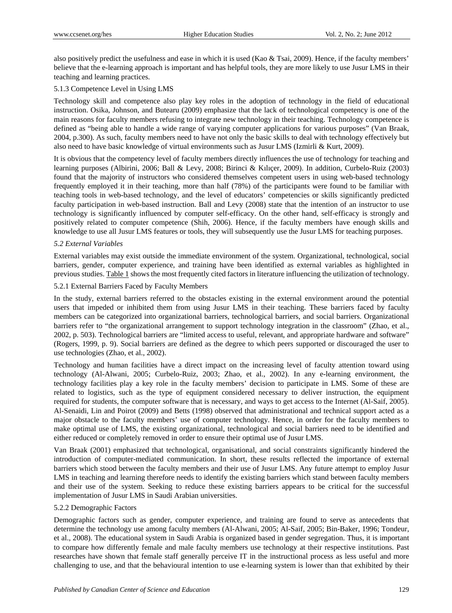also positively predict the usefulness and ease in which it is used (Kao & Tsai, 2009). Hence, if the faculty members' believe that the e-learning approach is important and has helpful tools, they are more likely to use Jusur LMS in their teaching and learning practices.

## 5.1.3 Competence Level in Using LMS

Technology skill and competence also play key roles in the adoption of technology in the field of educational instruction. Osika, Johnson, and Butearu (2009) emphasize that the lack of technological competency is one of the main reasons for faculty members refusing to integrate new technology in their teaching. Technology competence is defined as "being able to handle a wide range of varying computer applications for various purposes" (Van Braak, 2004, p.300). As such, faculty members need to have not only the basic skills to deal with technology effectively but also need to have basic knowledge of virtual environments such as Jusur LMS (Izmirli & Kurt, 2009).

It is obvious that the competency level of faculty members directly influences the use of technology for teaching and learning purposes (Albirini, 2006; Ball & Levy, 2008; Birinci & Kılıçer, 2009). In addition, Curbelo-Ruiz (2003) found that the majority of instructors who considered themselves competent users in using web-based technology frequently employed it in their teaching, more than half (78%) of the participants were found to be familiar with teaching tools in web-based technology, and the level of educators' competencies or skills significantly predicted faculty participation in web-based instruction. Ball and Levy (2008) state that the intention of an instructor to use technology is significantly influenced by computer self-efficacy. On the other hand, self-efficacy is strongly and positively related to computer competence (Shih, 2006). Hence, if the faculty members have enough skills and knowledge to use all Jusur LMS features or tools, they will subsequently use the Jusur LMS for teaching purposes.

## *5.2 External Variables*

External variables may exist outside the immediate environment of the system. Organizational, technological, social barriers, gender, computer experience, and training have been identified as external variables as highlighted in previous studies. Table 1 shows the most frequently cited factors in literature influencing the utilization of technology.

#### 5.2.1 External Barriers Faced by Faculty Members

In the study, external barriers referred to the obstacles existing in the external environment around the potential users that impeded or inhibited them from using Jusur LMS in their teaching. These barriers faced by faculty members can be categorized into organizational barriers, technological barriers, and social barriers. Organizational barriers refer to "the organizational arrangement to support technology integration in the classroom" (Zhao, et al., 2002, p. 503). Technological barriers are "limited access to useful, relevant, and appropriate hardware and software" (Rogers, 1999, p. 9). Social barriers are defined as the degree to which peers supported or discouraged the user to use technologies (Zhao, et al., 2002).

Technology and human facilities have a direct impact on the increasing level of faculty attention toward using technology (Al-Alwani, 2005; Curbelo-Ruiz, 2003; Zhao, et al., 2002). In any e-learning environment, the technology facilities play a key role in the faculty members' decision to participate in LMS. Some of these are related to logistics, such as the type of equipment considered necessary to deliver instruction, the equipment required for students, the computer software that is necessary, and ways to get access to the Internet (Al-Saif, 2005). Al-Senaidi, Lin and Poirot (2009) and Betts (1998) observed that administrational and technical support acted as a major obstacle to the faculty members' use of computer technology. Hence, in order for the faculty members to make optimal use of LMS, the existing organizational, technological and social barriers need to be identified and either reduced or completely removed in order to ensure their optimal use of Jusur LMS.

Van Braak (2001) emphasized that technological, organisational, and social constraints significantly hindered the introduction of computer-mediated communication. In short, these results reflected the importance of external barriers which stood between the faculty members and their use of Jusur LMS. Any future attempt to employ Jusur LMS in teaching and learning therefore needs to identify the existing barriers which stand between faculty members and their use of the system. Seeking to reduce these existing barriers appears to be critical for the successful implementation of Jusur LMS in Saudi Arabian universities.

#### 5.2.2 Demographic Factors

Demographic factors such as gender, computer experience, and training are found to serve as antecedents that determine the technology use among faculty members (Al-Alwani, 2005; Al-Saif, 2005; Bin-Baker, 1996; Tondeur, et al., 2008). The educational system in Saudi Arabia is organized based in gender segregation. Thus, it is important to compare how differently female and male faculty members use technology at their respective institutions. Past researches have shown that female staff generally perceive IT in the instructional process as less useful and more challenging to use, and that the behavioural intention to use e-learning system is lower than that exhibited by their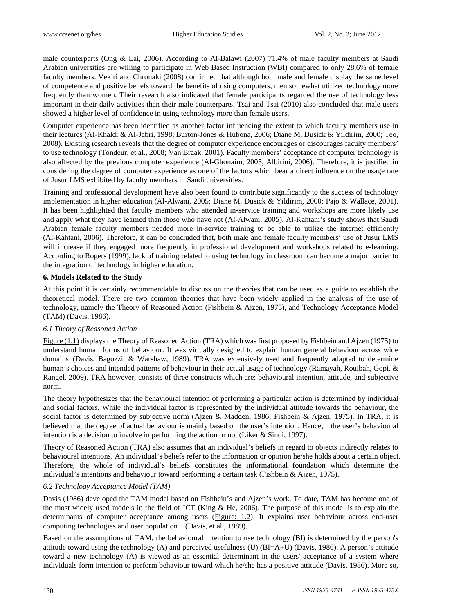male counterparts (Ong & Lai, 2006). According to Al-Balawi (2007) 71.4% of male faculty members at Saudi Arabian universities are willing to participate in Web Based Instruction (WBI) compared to only 28.6% of female faculty members. Vekiri and Chronaki (2008) confirmed that although both male and female display the same level of competence and positive beliefs toward the benefits of using computers, men somewhat utilized technology more frequently than women. Their research also indicated that female participants regarded the use of technology less important in their daily activities than their male counterparts. Tsai and Tsai (2010) also concluded that male users showed a higher level of confidence in using technology more than female users.

Computer experience has been identified as another factor influencing the extent to which faculty members use in their lectures (AI-Khaldi & AI-Jabri, 1998; Burton-Jones & Hubona, 2006; Diane M. Dusick & Yildirim, 2000; Teo, 2008). Existing research reveals that the degree of computer experience encourages or discourages faculty members' to use technology (Tondeur, et al., 2008; Van Braak, 2001). Faculty members' acceptance of computer technology is also affected by the previous computer experience (Al-Ghonaim, 2005; Albirini, 2006). Therefore, it is justified in considering the degree of computer experience as one of the factors which bear a direct influence on the usage rate of Jusur LMS exhibited by faculty members in Saudi universities.

Training and professional development have also been found to contribute significantly to the success of technology implementation in higher education (Al-Alwani, 2005; Diane M. Dusick & Yildirim, 2000; Pajo & Wallace, 2001). It has been highlighted that faculty members who attended in-service training and workshops are more likely use and apply what they have learned than those who have not (Al-Alwani, 2005). Al-Kahtani's study shows that Saudi Arabian female faculty members needed more in-service training to be able to utilize the internet efficiently (Al-Kahtani, 2006). Therefore, it can be concluded that, both male and female faculty members' use of Jusur LMS will increase if they engaged more frequently in professional development and workshops related to e-learning. According to Rogers (1999), lack of training related to using technology in classroom can become a major barrier to the integration of technology in higher education.

#### **6. Models Related to the Study**

At this point it is certainly recommendable to discuss on the theories that can be used as a guide to establish the theoretical model. There are two common theories that have been widely applied in the analysis of the use of technology, namely the Theory of Reasoned Action (Fishbein & Ajzen, 1975), and Technology Acceptance Model (TAM) (Davis, 1986).

#### *6.1 Theory of Reasoned Action*

Figure (1.1) displays the Theory of Reasoned Action (TRA) which was first proposed by Fishbein and Ajzen (1975) to understand human forms of behaviour. It was virtually designed to explain human general behaviour across wide domains (Davis, Bagozzi, & Warshaw, 1989). TRA was extensively used and frequently adapted to determine human's choices and intended patterns of behaviour in their actual usage of technology (Ramayah, Rouibah, Gopi, & Rangel, 2009). TRA however, consists of three constructs which are: behavioural intention, attitude, and subjective norm.

The theory hypothesizes that the behavioural intention of performing a particular action is determined by individual and social factors. While the individual factor is represented by the individual attitude towards the behaviour, the social factor is determined by subjective norm (Ajzen & Madden, 1986; Fishbein & Ajzen, 1975). In TRA, it is believed that the degree of actual behaviour is mainly based on the user's intention. Hence, the user's behavioural intention is a decision to involve in performing the action or not (Liker & Sindi, 1997).

Theory of Reasoned Action (TRA) also assumes that an individual's beliefs in regard to objects indirectly relates to behavioural intentions. An individual's beliefs refer to the information or opinion he/she holds about a certain object. Therefore, the whole of individual's beliefs constitutes the informational foundation which determine the individual's intentions and behaviour toward performing a certain task (Fishbein & Ajzen, 1975).

## *6.2 Technology Acceptance Model (TAM)*

Davis (1986) developed the TAM model based on Fishbein's and Ajzen's work. To date, TAM has become one of the most widely used models in the field of ICT (King & He, 2006). The purpose of this model is to explain the determinants of computer acceptance among users (Figure: 1.2). It explains user behaviour across end-user computing technologies and user population (Davis, et al., 1989).

Based on the assumptions of TAM, the behavioural intention to use technology (BI) is determined by the person's attitude toward using the technology (A) and perceived usefulness (U) (BI=A+U) (Davis, 1986). A person's attitude toward a new technology (A) is viewed as an essential determinant in the users' acceptance of a system where individuals form intention to perform behaviour toward which he/she has a positive attitude (Davis, 1986). More so,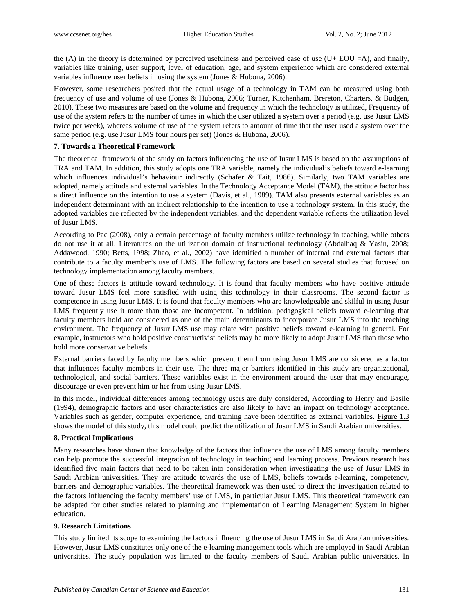the (A) in the theory is determined by perceived usefulness and perceived ease of use (U+ EOU =A), and finally, variables like training, user support, level of education, age, and system experience which are considered external variables influence user beliefs in using the system (Jones & Hubona, 2006).

However, some researchers posited that the actual usage of a technology in TAM can be measured using both frequency of use and volume of use (Jones & Hubona, 2006; Turner, Kitchenham, Brereton, Charters, & Budgen, 2010). These two measures are based on the volume and frequency in which the technology is utilized, Frequency of use of the system refers to the number of times in which the user utilized a system over a period (e.g. use Jusur LMS twice per week), whereas volume of use of the system refers to amount of time that the user used a system over the same period (e.g. use Jusur LMS four hours per set) (Jones & Hubona, 2006).

#### **7. Towards a Theoretical Framework**

The theoretical framework of the study on factors influencing the use of Jusur LMS is based on the assumptions of TRA and TAM. In addition, this study adopts one TRA variable, namely the individual's beliefs toward e-learning which influences individual's behaviour indirectly (Schafer & Tait, 1986). Similarly, two TAM variables are adopted, namely attitude and external variables. In the Technology Acceptance Model (TAM), the attitude factor has a direct influence on the intention to use a system (Davis, et al., 1989). TAM also presents external variables as an independent determinant with an indirect relationship to the intention to use a technology system. In this study, the adopted variables are reflected by the independent variables, and the dependent variable reflects the utilization level of Jusur LMS.

According to Pac (2008), only a certain percentage of faculty members utilize technology in teaching, while others do not use it at all. Literatures on the utilization domain of instructional technology (Abdalhaq & Yasin, 2008; Addawood, 1990; Betts, 1998; Zhao, et al., 2002) have identified a number of internal and external factors that contribute to a faculty member's use of LMS. The following factors are based on several studies that focused on technology implementation among faculty members.

One of these factors is attitude toward technology. It is found that faculty members who have positive attitude toward Jusur LMS feel more satisfied with using this technology in their classrooms. The second factor is competence in using Jusur LMS. It is found that faculty members who are knowledgeable and skilful in using Jusur LMS frequently use it more than those are incompetent. In addition, pedagogical beliefs toward e-learning that faculty members hold are considered as one of the main determinants to incorporate Jusur LMS into the teaching environment. The frequency of Jusur LMS use may relate with positive beliefs toward e-learning in general. For example, instructors who hold positive constructivist beliefs may be more likely to adopt Jusur LMS than those who hold more conservative beliefs.

External barriers faced by faculty members which prevent them from using Jusur LMS are considered as a factor that influences faculty members in their use. The three major barriers identified in this study are organizational, technological, and social barriers. These variables exist in the environment around the user that may encourage, discourage or even prevent him or her from using Jusur LMS.

In this model, individual differences among technology users are duly considered, According to Henry and Basile (1994), demographic factors and user characteristics are also likely to have an impact on technology acceptance. Variables such as gender, computer experience, and training have been identified as external variables. Figure 1.3 shows the model of this study, this model could predict the utilization of Jusur LMS in Saudi Arabian universities.

#### **8. Practical Implications**

Many researches have shown that knowledge of the factors that influence the use of LMS among faculty members can help promote the successful integration of technology in teaching and learning process. Previous research has identified five main factors that need to be taken into consideration when investigating the use of Jusur LMS in Saudi Arabian universities. They are attitude towards the use of LMS, beliefs towards e-learning, competency, barriers and demographic variables. The theoretical framework was then used to direct the investigation related to the factors influencing the faculty members' use of LMS, in particular Jusur LMS. This theoretical framework can be adapted for other studies related to planning and implementation of Learning Management System in higher education.

## **9. Research Limitations**

This study limited its scope to examining the factors influencing the use of Jusur LMS in Saudi Arabian universities. However, Jusur LMS constitutes only one of the e-learning management tools which are employed in Saudi Arabian universities. The study population was limited to the faculty members of Saudi Arabian public universities. In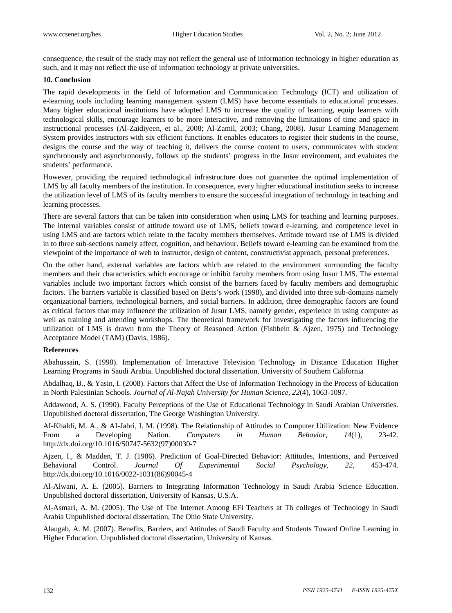consequence, the result of the study may not reflect the general use of information technology in higher education as such, and it may not reflect the use of information technology at private universities.

#### **10. Conclusion**

The rapid developments in the field of Information and Communication Technology (ICT) and utilization of e-learning tools including learning management system (LMS) have become essentials to educational processes. Many higher educational institutions have adopted LMS to increase the quality of learning, equip learners with technological skills, encourage learners to be more interactive, and removing the limitations of time and space in instructional processes (Al-Zaidiyeen, et al., 2008; Al-Zamil, 2003; Chang, 2008). Jusur Learning Management System provides instructors with six efficient functions. It enables educators to register their students in the course, designs the course and the way of teaching it, delivers the course content to users, communicates with student synchronously and asynchronously, follows up the students' progress in the Jusur environment, and evaluates the students' performance.

However, providing the required technological infrastructure does not guarantee the optimal implementation of LMS by all faculty members of the institution. In consequence, every higher educational institution seeks to increase the utilization level of LMS of its faculty members to ensure the successful integration of technology in teaching and learning processes.

There are several factors that can be taken into consideration when using LMS for teaching and learning purposes. The internal variables consist of attitude toward use of LMS, beliefs toward e-learning, and competence level in using LMS and are factors which relate to the faculty members themselves. Attitude toward use of LMS is divided in to three sub-sections namely affect, cognition, and behaviour. Beliefs toward e-learning can be examined from the viewpoint of the importance of web to instructor, design of content, constructivist approach, personal preferences.

On the other hand, external variables are factors which are related to the environment surrounding the faculty members and their characteristics which encourage or inhibit faculty members from using Jusur LMS. The external variables include two important factors which consist of the barriers faced by faculty members and demographic factors. The barriers variable is classified based on Betts's work (1998), and divided into three sub-domains namely organizational barriers, technological barriers, and social barriers. In addition, three demographic factors are found as critical factors that may influence the utilization of Jusur LMS, namely gender, experience in using computer as well as training and attending workshops. The theoretical framework for investigating the factors influencing the utilization of LMS is drawn from the Theory of Reasoned Action (Fishbein & Ajzen, 1975) and Technology Acceptance Model (TAM) (Davis, 1986).

#### **References**

Abahussain, S. (1998). Implementation of Interactive Television Technology in Distance Education Higher Learning Programs in Saudi Arabia. Unpublished doctoral dissertation, University of Southern California

Abdalhaq, B., & Yasin, I. (2008). Factors that Affect the Use of Information Technology in the Process of Education in North Palestinian Schools. *Journal of Al-Najah University for Human Science, 22*(4), 1063-1097.

Addawood, A. S. (1990). Faculty Perceptions of the Use of Educational Technology in Saudi Arabian Universties. Unpublished doctoral dissertation, The George Washington University.

AI-Khaldi, M. A., & AI-Jabri, I. M. (1998). The Relationship of Attitudes to Computer Utilization: New Evidence From a Developing Nation. *Computers in Human Behavior, 14*(1), 23-42. http://dx.doi.org/10.1016/S0747-5632(97)00030-7

Ajzen, I., & Madden, T. J. (1986). Prediction of Goal-Directed Behavior: Attitudes, Intentions, and Perceived Behavioral Control. *Journal Of Experimental Social Psychology, 22,* 453-474. http://dx.doi.org/10.1016/0022-1031(86)90045-4

Al-Alwani, A. E. (2005). Barriers to Integrating Information Technology in Saudi Arabia Science Education. Unpublished doctoral dissertation, University of Kansas, U.S.A.

Al-Asmari, A. M. (2005). The Use of The Internet Among EFl Teachers at Th colleges of Technology in Saudi Arabia Unpublished doctoral dissertation, The Ohio State University.

Alaugab, A. M. (2007). Benefits, Barriers, and Attitudes of Saudi Faculty and Students Toward Online Learning in Higher Education. Unpublished doctoral dissertation, University of Kansas.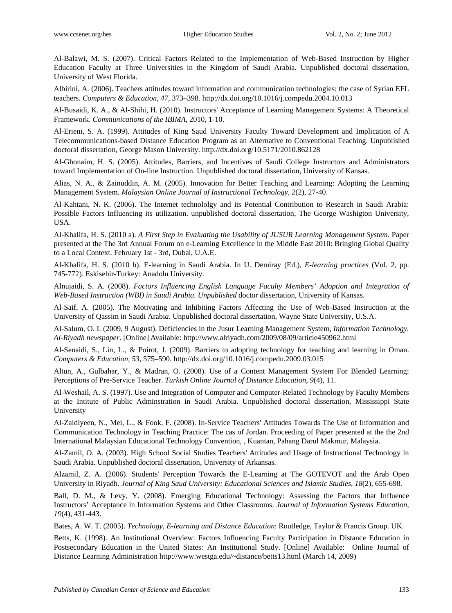Al-Balawi, M. S. (2007). Critical Factors Related to the Implementation of Web-Based Instruction by Higher Education Faculty at Three Universities in the Kingdom of Saudi Arabia. Unpublished doctoral dissertation, University of West Florida.

Albirini, A. (2006). Teachers attitudes toward information and communication technologies: the case of Syrian EFL teachers. *Computers & Education, 47*, 373–398. http://dx.doi.org/10.1016/j.compedu.2004.10.013

Al-Busaidi, K. A., & Al-Shihi, H. (2010). Instructors' Acceptance of Learning Management Systems: A Theoretical Framework. *Communications of the IBIMA,* 2010, 1-10.

Al-Erieni, S. A. (1999). Attitudes of King Saud University Faculty Toward Development and Implication of A Telecommunications-based Distance Education Program as an Alternative to Conventional Teaching. Unpublished doctoral dissertation, George Mason University. http://dx.doi.org/10.5171/2010.862128

Al-Ghonaim, H. S. (2005). Attitudes, Barriers, and Incentives of Saudi College Instructors and Administrators toward Implementation of On-line Instruction. Unpublished doctoral dissertation, University of Kansas.

Alias, N. A., & Zainuddin, A. M. (2005). Innovation for Better Teaching and Learning: Adopting the Learning Management System. *Malaysian Online Journal of Instructional Technology, 2*(2), 27-40.

Al-Kahtani, N. K. (2006). The Internet technololgy and its Potential Contribution to Research in Saudi Arabia: Possible Factors Influencing its utilization. unpublished doctoral dissertation, The George Washigton University, USA.

Al-Khalifa, H. S. (2010 a). *A First Step in Evaluating the Usability of JUSUR Learning Management System.* Paper presented at the The 3rd Annual Forum on e-Learning Excellence in the Middle East 2010: Bringing Global Quality to a Local Context. February 1st - 3rd, Dubai, U.A.E.

Al-Khalifa, H. S. (2010 b). E-learning in Saudi Arabia. In U. Demiray (Ed.), *E-learning practices* (Vol. 2, pp. 745-772). Eskisehir-Turkey: Anadolu University.

Alnujaidi, S. A. (2008). *Factors Influencing English Language Faculty Members' Adoption and Integration of Web-Based Instruction (WBI) in Saudi Arabia. Unpublished* doctor dissertation, University of Kansas.

Al-Saif, A. (2005). The Motivating and Inhibiting Factors Affecting the Use of Web-Based Instruction at the University of Qassim in Saudi Arabi*a.* Unpublished doctoral dissertation, Wayne State University, U.S.A.

Al-Salum, O. I. (2009, 9 August). Deficiencies in the Jusur Learning Management System, *Information Technology. Al-Riyadh newspaper*. [Online] Available: http://www.alriyadh.com/2009/08/09/article450962.html

Al-Senaidi, S., Lin, L., & Poirot, J. (2009). Barriers to adopting technology for teaching and learning in Oman. *Computers & Education, 53*, 575–590. http://dx.doi.org/10.1016/j.compedu.2009.03.015

Altun, A., Gulbahar, Y., & Madran, O. (2008). Use of a Content Management System For Blended Learning: Perceptions of Pre-Service Teacher. *Turkish Online Journal of Distance Education, 9*(4), 11.

Al-Weshail, A. S. (1997). Use and Integration of Computer and Computer-Related Technology by Faculty Members at the Intitute of Public Adminstration in Saudi Arabia. Unpublished doctoral dissertation, Mississippi State University

Al-Zaidiyeen, N., Mei, L., & Fook, F. (2008). In-Service Teachers' Attitudes Towards The Use of Information and Communication Technology in Teaching Practice: The cas of Jordan. Proceeding of Paper presented at the the 2nd International Malaysian Educational Technology Convention, , Kuantan, Pahang Darul Makmur, Malaysia.

Al-Zamil, O. A. (2003). High School Social Studies Teachers' Attitudes and Usage of Instructional Technology in Saudi Arabia. Unpublished doctoral dissertation, University of Arkansas.

Alzamil, Z. A. (2006). Students' Perception Towards the E-Learning at The GOTEVOT and the Arab Open University in Riyadh. *Journal of King Saud University: Educational Sciences and Islamic Studies, 18*(2), 655-698.

Ball, D. M., & Levy, Y. (2008). Emerging Educational Technology: Assessing the Factors that Influence Instructors' Acceptance in Information Systems and Other Classrooms. *Journal of Information Systems Education, 19*(4), 431-443.

Bates, A. W. T. (2005). *Technology, E-learning and Distance Education*: Routledge, Taylor & Francis Group. UK.

Betts, K. (1998). An Institutional Overview: Factors Influencing Faculty Participation in Distance Education in Postsecondary Education in the United States: An Institutional Study. [Online] Available: Online Journal of Distance Learning Administration http://www.westga.edu/~distance/betts13.html (March 14, 2009)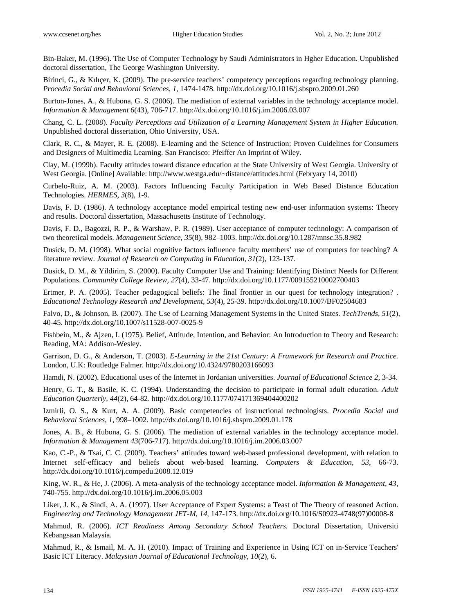Bin-Baker, M. (1996). The Use of Computer Technology by Saudi Administrators in Hgher Education. Unpublished doctoral dissertation, The George Washington University.

Birinci, G., & Kılıçer, K. (2009). The pre-service teachers' competency perceptions regarding technology planning. *Procedia Social and Behavioral Sciences, 1*, 1474-1478. http://dx.doi.org/10.1016/j.sbspro.2009.01.260

Burton-Jones, A., & Hubona, G. S. (2006). The mediation of external variables in the technology acceptance model. *Information & Management 6*(43), 706-717. http://dx.doi.org/10.1016/j.im.2006.03.007

Chang, C. L. (2008). *Faculty Perceptions and Utilization of a Learning Management System in Higher Education.* Unpublished doctoral dissertation, Ohio University, USA.

Clark, R. C., & Mayer, R. E. (2008). E-learning and the Science of Instruction: Proven Cuidelines for Consumers and Designers of Multimedia Learning. San Francisco: Pfeiffer An Imprint of Wiley.

Clay, M. (1999b). Faculty attitudes toward distance education at the State University of West Georgia. University of West Georgia. [Online] Available: http://www.westga.edu/~distance/attitudes.html (Febryary 14, 2010)

Curbelo-Ruiz, A. M. (2003). Factors Influencing Faculty Participation in Web Based Distance Education Technologies. *HERMES, 3*(8), 1-9.

Davis, F. D. (1986). A technology acceptance model empirical testing new end-user information systems: Theory and results. Doctoral dissertation, Massachusetts Institute of Technology.

Davis, F. D., Bagozzi, R. P., & Warshaw, P. R. (1989). User acceptance of computer technology: A comparison of two theoretical models. *Management Science, 35*(8), 982–1003. http://dx.doi.org/10.1287/mnsc.35.8.982

Dusick, D. M. (1998). What social cognitive factors influence faculty members' use of computers for teaching? A literature review. *Journal of Research on Computing in Education, 31*(2), 123-137.

Dusick, D. M., & Yildirim, S. (2000). Faculty Computer Use and Training: Identifying Distinct Needs for Different Populations. *Community College Review, 27*(4), 33-47. http://dx.doi.org/10.1177/009155210002700403

Ertmer, P. A. (2005). Teacher pedagogical beliefs: The final frontier in our quest for technology integration? . *Educational Technology Research and Development, 53*(4), 25-39. http://dx.doi.org/10.1007/BF02504683

Falvo, D., & Johnson, B. (2007). The Use of Learning Management Systems in the United States. *TechTrends, 51*(2), 40-45. http://dx.doi.org/10.1007/s11528-007-0025-9

Fishbein, M., & Ajzen, I. (1975). Belief, Attitude, Intention, and Behavior: An Introduction to Theory and Research: Reading, MA: Addison-Wesley.

Garrison, D. G., & Anderson, T. (2003). *E-Learning in the 21st Century: A Framework for Research and Practice.* London, U.K: Routledge Falmer. http://dx.doi.org/10.4324/9780203166093

Hamdi, N. (2002). Educational uses of the Internet in Jordanian universities. *Journal of Educational Science 2*, 3-34.

Henry, G. T., & Basile, K. C. (1994). Understanding the decision to participate in formal adult education. *Adult Education Quarterly, 44*(2), 64-82. http://dx.doi.org/10.1177/074171369404400202

Izmirli, O. S., & Kurt, A. A. (2009). Basic competencies of instructional technologists. *Procedia Social and Behavioral Sciences, 1*, 998–1002. http://dx.doi.org/10.1016/j.sbspro.2009.01.178

Jones, A. B., & Hubona, G. S. (2006). The mediation of external variables in the technology acceptance model. *Information & Management 43*(706-717). http://dx.doi.org/10.1016/j.im.2006.03.007

Kao, C.-P., & Tsai, C. C. (2009). Teachers' attitudes toward web-based professional development, with relation to Internet self-efficacy and beliefs about web-based learning. *Computers & Education, 53*, 66-73. http://dx.doi.org/10.1016/j.compedu.2008.12.019

King, W. R., & He, J. (2006). A meta-analysis of the technology acceptance model. *Information & Management, 43*, 740-755. http://dx.doi.org/10.1016/j.im.2006.05.003

Liker, J. K., & Sindi, A. A. (1997). User Acceptance of Expert Systems: a Teast of The Theory of reasoned Action. *Engineering and Technology Management JET-M, 14*, 147-173. http://dx.doi.org/10.1016/S0923-4748(97)00008-8

Mahmud, R. (2006). *ICT Readiness Among Secondary School Teachers.* Doctoral Dissertation, Universiti Kebangsaan Malaysia.

Mahmud, R., & Ismail, M. A. H. (2010). Impact of Training and Experience in Using ICT on in-Service Teachers' Basic ICT Literacy. *Malaysian Journal of Educational Technology, 10*(2), 6.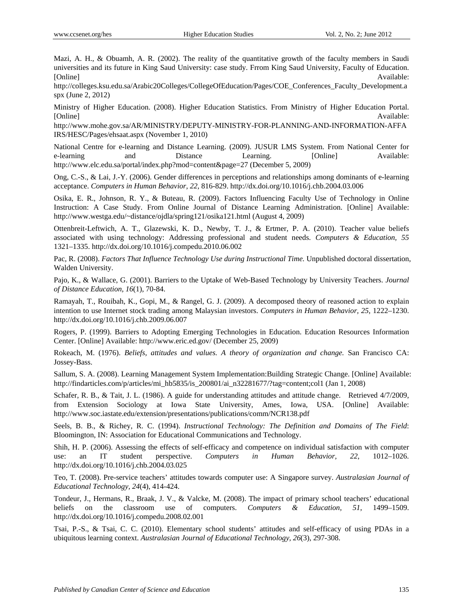Mazi, A. H., & Obuamh, A. R. (2002). The reality of the quantitative growth of the faculty members in Saudi universities and its future in King Saud University: case study. Frrom King Saud University, Faculty of Education. [Online] Available: Available:

http://colleges.ksu.edu.sa/Arabic20Colleges/CollegeOfEducation/Pages/COE\_Conferences\_Faculty\_Development.a spx (June 2, 2012)

Ministry of Higher Education. (2008). Higher Education Statistics. From Ministry of Higher Education Portal. [Online] Available: Available:

http://www.mohe.gov.sa/AR/MINISTRY/DEPUTY-MINISTRY-FOR-PLANNING-AND-INFORMATION-AFFA IRS/HESC/Pages/ehsaat.aspx (November 1, 2010)

National Centre for e-learning and Distance Learning. (2009). JUSUR LMS System. From National Center for e-learning and Distance Learning. [Online] Available: http://www.elc.edu.sa/portal/index.php?mod=content&page=27 (December 5, 2009)

Ong, C.-S., & Lai, J.-Y. (2006). Gender differences in perceptions and relationships among dominants of e-learning acceptance. *Computers in Human Behavior, 22*, 816-829. http://dx.doi.org/10.1016/j.chb.2004.03.006

Osika, E. R., Johnson, R. Y., & Buteau, R. (2009). Factors Influencing Faculty Use of Technology in Online Instruction: A Case Study. From Online Journal of Distance Learning Administration. [Online] Available: http://www.westga.edu/~distance/ojdla/spring121/osika121.html (August 4, 2009)

Ottenbreit-Leftwich, A. T., Glazewski, K. D., Newby, T. J., & Ertmer, P. A. (2010). Teacher value beliefs associated with using technology: Addressing professional and student needs. *Computers & Education, 55*  1321–1335. http://dx.doi.org/10.1016/j.compedu.2010.06.002

Pac, R. (2008). *Factors That Influence Technology Use during Instructional Time.* Unpublished doctoral dissertation, Walden University.

Pajo, K., & Wallace, G. (2001). Barriers to the Uptake of Web-Based Technology by University Teachers. *Journal of Distance Education, 16*(1), 70-84.

Ramayah, T., Rouibah, K., Gopi, M., & Rangel, G. J. (2009). A decomposed theory of reasoned action to explain intention to use Internet stock trading among Malaysian investors. *Computers in Human Behavior, 25*, 1222–1230. http://dx.doi.org/10.1016/j.chb.2009.06.007

Rogers, P. (1999). Barriers to Adopting Emerging Technologies in Education. Education Resources Information Center. [Online] Available: http://www.eric.ed.gov/ (December 25, 2009)

Rokeach, M. (1976). *Beliefs, attitudes and values. A theory of organization and change.* San Francisco CA: Jossey-Bass.

Sallum, S. A. (2008). Learning Management System Implementation:Building Strategic Change. [Online] Available: http://findarticles.com/p/articles/mi\_hb5835/is\_200801/ai\_n32281677/?tag=content;col1 (Jan 1, 2008)

Schafer, R. B., & Tait, J. L. (1986). A guide for understanding attitudes and attitude change. Retrieved 4/7/2009, from Extension Sociology at Iowa State University, Ames, Iowa, USA. [Online] Available: http://www.soc.iastate.edu/extension/presentations/publications/comm/NCR138.pdf

Seels, B. B., & Richey, R. C. (1994). *Instructional Technology: The Definition and Domains of The Field*: Bloomington, IN: Association for Educational Communications and Technology.

Shih, H. P. (2006). Assessing the effects of self-efficacy and competence on individual satisfaction with computer use: an IT student perspective. *Computers in Human Behavior, 22*, 1012–1026. http://dx.doi.org/10.1016/j.chb.2004.03.025

Teo, T. (2008). Pre-service teachers' attitudes towards computer use: A Singapore survey. *Australasian Journal of Educational Technology, 24*(4), 414-424.

Tondeur, J., Hermans, R., Braak, J. V., & Valcke, M. (2008). The impact of primary school teachers' educational beliefs on the classroom use of computers. *Computers & Education, 51*, 1499–1509. http://dx.doi.org/10.1016/j.compedu.2008.02.001

Tsai, P.-S., & Tsai, C. C. (2010). Elementary school students' attitudes and self-efficacy of using PDAs in a ubiquitous learning context. *Australasian Journal of Educational Technology, 26*(3), 297-308.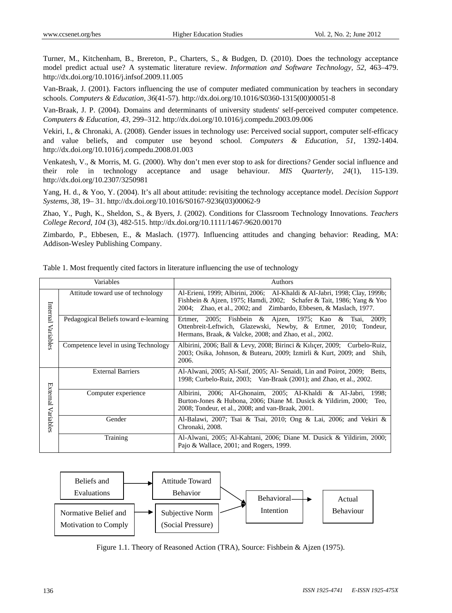Turner, M., Kitchenham, B., Brereton, P., Charters, S., & Budgen, D. (2010). Does the technology acceptance model predict actual use? A systematic literature review. *Information and Software Technology, 52*, 463–479. http://dx.doi.org/10.1016/j.infsof.2009.11.005

Van-Braak, J. (2001). Factors influencing the use of computer mediated communication by teachers in secondary schools. *Computers & Education, 36*(41-57). http://dx.doi.org/10.1016/S0360-1315(00)00051-8

Van-Braak, J. P. (2004). Domains and determinants of university students' self-perceived computer competence. *Computers & Education, 43*, 299–312. http://dx.doi.org/10.1016/j.compedu.2003.09.006

Vekiri, I., & Chronaki, A. (2008). Gender issues in technology use: Perceived social support, computer self-efficacy and value beliefs, and computer use beyond school. *Computers & Education, 51*, 1392-1404. http://dx.doi.org/10.1016/j.compedu.2008.01.003

Venkatesh, V., & Morris, M. G. (2000). Why don't men ever stop to ask for directions? Gender social influence and their role in technology acceptance and usage behaviour. *MIS Quarterly, 24*(1), 115-139. http://dx.doi.org/10.2307/3250981

Yang, H. d., & Yoo, Y. (2004). It's all about attitude: revisiting the technology acceptance model. *Decision Support Systems, 38*, 19– 31. http://dx.doi.org/10.1016/S0167-9236(03)00062-9

Zhao, Y., Pugh, K., Sheldon, S., & Byers, J. (2002). Conditions for Classroom Technology Innovations. *Teachers College Record, 104* (3), 482-515. http://dx.doi.org/10.1111/1467-9620.00170

Zimbardo, P., Ebbesen, E., & Maslach. (1977). Influencing attitudes and changing behavior: Reading, MA: Addison-Wesley Publishing Company.

| Variables          |                                       | Authors                                                                                                                                                                                                                 |
|--------------------|---------------------------------------|-------------------------------------------------------------------------------------------------------------------------------------------------------------------------------------------------------------------------|
| Internal Variables | Attitude toward use of technology     | Al-Erieni, 1999; Albirini, 2006; Al-Khaldi & Al-Jabri, 1998; Clay, 1999b;<br>Fishbein & Ajzen, 1975; Hamdi, 2002; Schafer & Tait, 1986; Yang & Yoo<br>2004; Zhao, et al., 2002; and Zimbardo, Ebbesen, & Maslach, 1977. |
|                    | Pedagogical Beliefs toward e-learning | Ertmer, 2005; Fishbein & Ajzen, 1975; Kao & Tsai, 2009;<br>Ottenbreit-Leftwich, Glazewski, Newby, & Ertmer, 2010; Tondeur,<br>Hermans, Braak, & Valcke, 2008; and Zhao, et al., 2002.                                   |
|                    | Competence level in using Technology  | Albirini, 2006; Ball & Levy, 2008; Birinci & Kilicer, 2009; Curbelo-Ruiz,<br>2003; Osika, Johnson, & Butearu, 2009; Izmirli & Kurt, 2009; and Shih,<br>2006.                                                            |
| External Variables | <b>External Barriers</b>              | Al-Alwani, 2005; Al-Saif, 2005; Al-Senaidi, Lin and Poirot, 2009; Betts,<br>1998; Curbelo-Ruiz, 2003; Van-Braak (2001); and Zhao, et al., 2002.                                                                         |
|                    | Computer experience                   | Albirini, 2006; Al-Ghonaim, 2005; Al-Khaldi & Al-Jabri,<br>1998:<br>Burton-Jones & Hubona, 2006; Diane M. Dusick & Yildirim, 2000;<br>Teo.<br>2008; Tondeur, et al., 2008; and van-Braak, 2001.                         |
|                    | Gender                                | Al-Balawi, 2007; Tsai & Tsai, 2010; Ong & Lai, 2006; and Vekiri &<br>Chronaki, 2008.                                                                                                                                    |
|                    | Training                              | Al-Alwani, 2005; Al-Kahtani, 2006; Diane M. Dusick & Yildirim, 2000;<br>Pajo & Wallace, 2001; and Rogers, 1999.                                                                                                         |

Table 1. Most frequently cited factors in literature influencing the use of technology



Figure 1.1. Theory of Reasoned Action (TRA), Source: Fishbein & Ajzen (1975).